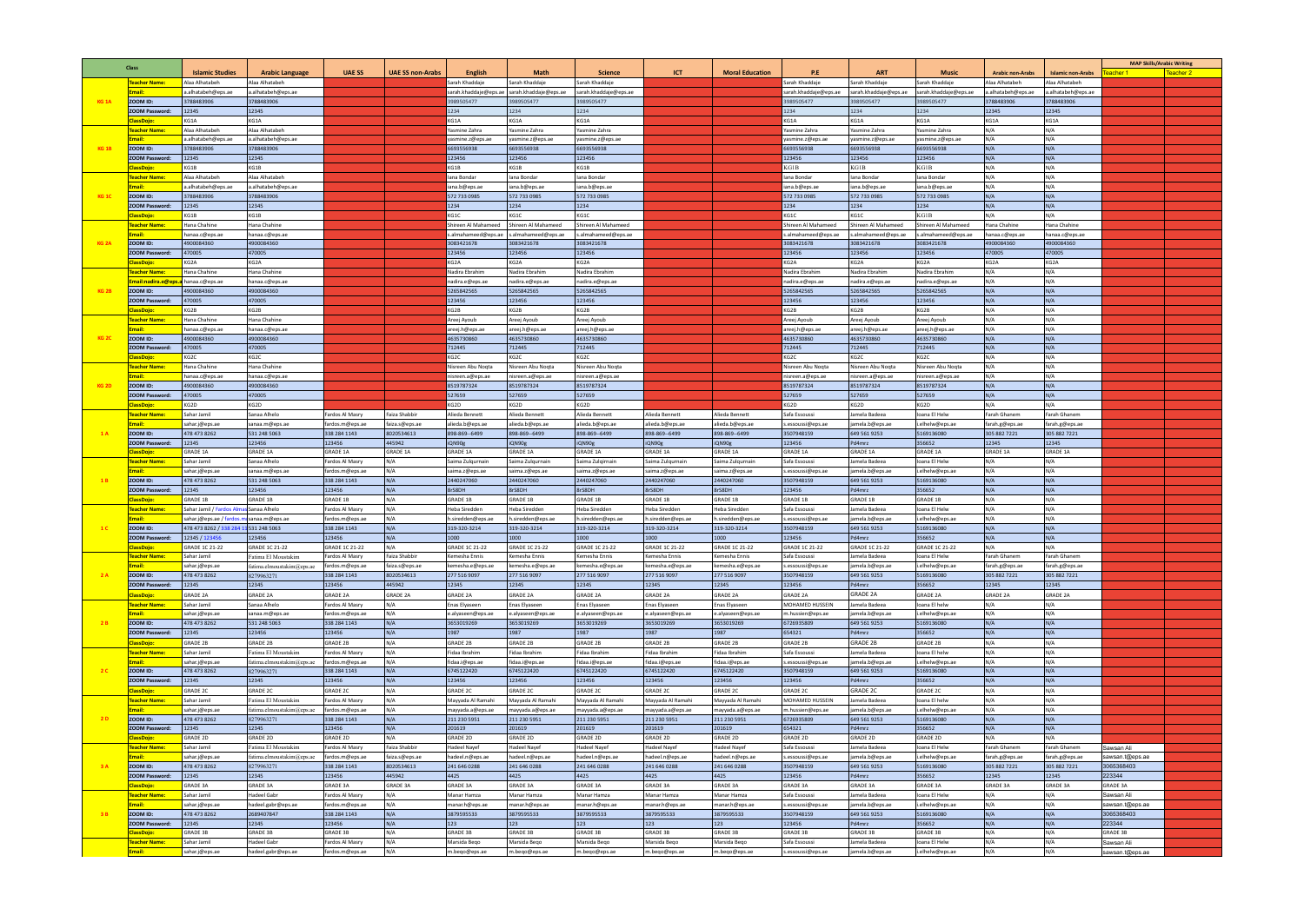| <b>Class</b>     |                                     |                                          |                           |                 |                         |                       |                                         |                       |                   |                        |                       |                       |                       |                         |                          | <b>MAP Skills/Arabic Writing</b> |           |
|------------------|-------------------------------------|------------------------------------------|---------------------------|-----------------|-------------------------|-----------------------|-----------------------------------------|-----------------------|-------------------|------------------------|-----------------------|-----------------------|-----------------------|-------------------------|--------------------------|----------------------------------|-----------|
|                  |                                     | <b>Islamic Studies</b>                   | <b>Arabic Language</b>    | <b>UAE SS</b>   | <b>UAE SS non-Arabs</b> | English               | <b>Math</b>                             | <b>Science</b>        | ICT               | <b>Moral Education</b> | P.E                   | <b>ART</b>            | <b>Music</b>          | <b>Arabic non-Arabs</b> | <b>Islamic non-Arabs</b> | Teacher 1                        | Teacher 2 |
| <b>KG 1A</b>     | <b>Teacher Name:</b>                | Alaa Alhatabeh                           | Alaa Alhatabeh            |                 |                         | Sarah Khaddaje        | Sarah Khaddaje                          | Sarah Khaddaje        |                   |                        | Sarah Khaddaje        | Sarah Khaddaje        | Sarah Khaddaje        | Alaa Alhatabeh          | Alaa Alhatabeh           |                                  |           |
|                  | Email:                              | a.alhatabeh@eps.ae                       | a.alhatabeh@eps.ae        |                 |                         | sarah.khaddaje@eps.ae | sarah.khaddaje@eps.ae                   | sarah.khaddaie@eps.ae |                   |                        | sarah.khaddaje@eps.ae | sarah.khaddaje@eps.ae | sarah.khaddaje@eps.ae | a.alhatabeh@eps.ae      | a.alhatabeh@eps.ae       |                                  |           |
|                  | ZOOM ID:                            | 3788483906                               | 3788483906                |                 |                         | 3989505477            | 3989505477                              | 3989505477            |                   |                        | 3989505477            | 3989505477            | 3989505477            | 3788483906              | 3788483906               |                                  |           |
|                  | <b>ZOOM Password:</b>               | 12345                                    | 12345                     |                 |                         | 1234                  | 1234                                    | 1234                  |                   |                        | 1234                  | 1234                  | 1234                  | 12345                   | 12345                    |                                  |           |
|                  | ClassDojo:                          | KG1A                                     | KG1A                      |                 |                         | KG1A                  | KG1A                                    | KG1A                  |                   |                        | KG1A                  | KG1A                  | KG1A                  | KG1A                    | KG1A                     |                                  |           |
|                  | Teacher Name                        | Alaa Alhatabeh                           | Alaa Alhatabeh            |                 |                         | Yasmine Zahra         | Yasmine Zahra                           | Yasmine Zahra         |                   |                        | Yasmine Zahra         | Yasmine Zahra         | Yasmine Zahra         | N/A                     | N/A                      |                                  |           |
|                  | Email:                              | a.alhatabeh@eps.ae                       | a.alhatabeh@eps.ae        |                 |                         | yasmine.z@eps.ae      | yasmine.z@eps.ae                        | yasmine.z@eps.ae      |                   |                        | yasmine.z@eps.ae      | yasmine.z@eps.ae      | yasmine.z@eps.ae      | N/A                     | N/A                      |                                  |           |
| KG <sub>1B</sub> | ZOOM ID:                            | 3788483906                               | 3788483906                |                 |                         | 6693556938            | 6693556938                              | 6693556938            |                   |                        | 6693556938            | 6693556938            | 6693556938            | N/A                     | N/A                      |                                  |           |
|                  | <b>ZOOM Password:</b>               | 12345                                    | 12345                     |                 |                         | 123456                | 123456                                  | 123456                |                   |                        | 123456                | 123456                | 123456                | N/A                     | N/A                      |                                  |           |
|                  | <b>ClassDojo:</b>                   | KG1B                                     | KG1B                      |                 |                         | KG1B                  | KG1B                                    | KG1B                  |                   |                        | KG1B                  | KG1B                  | KG1B                  | N/A                     | N/A                      |                                  |           |
|                  | Teacher Name                        | Alaa Alhatabeh                           | Alaa Alhatabeh            |                 |                         | lana Bondar           | lana Bondar                             | lana Bondar           |                   |                        | lana Bondar           | Iana Bondar           | lana Bondar           | N/A                     | N/A                      |                                  |           |
|                  |                                     | a.alhatabeh@eps.ae                       |                           |                 |                         |                       |                                         |                       |                   |                        |                       |                       |                       | N/A                     |                          |                                  |           |
|                  | Email:                              |                                          | a.alhatabeh@eps.ae        |                 |                         | iana.b@eps.ae         | iana.b@eps.ae                           | iana.b@eps.ae         |                   |                        | iana.b@eps.ae         | iana.b@eps.ae         | iana.b@eps.ae         |                         | N/A<br>N/A               |                                  |           |
| <b>KG 1C</b>     | ZOOM ID:                            | 3788483906                               | 3788483906                |                 |                         | 572 733 0985          | 572 733 0985                            | 572 733 0985          |                   |                        | 572 733 0985          | 572 733 0985          | 572 733 0985          | N/A                     |                          |                                  |           |
|                  | <b>ZOOM Password:</b>               | 12345                                    | 12345                     |                 |                         | 1234                  | 1234                                    | 1234                  |                   |                        | 1234                  | 1234                  | 1234                  | N/A                     | N/A                      |                                  |           |
|                  | <b>ClassDojo:</b>                   | KG1B                                     | KG1B                      |                 |                         | KG1C                  | KG1C                                    | KG1C                  |                   |                        | KG1C                  | KG1C                  | KG1B                  | N/A                     | N/A                      |                                  |           |
|                  | <b>Teacher Name:</b>                | Hana Chahine                             | Hana Chahine              |                 |                         | Shireen Al Mahameed   | Shireen Al Mahameed                     | Shireen Al Mahameed   |                   |                        | Shireen Al Mahameed   | Shireen Al Mahameed   | Shireen Al Mahameed   | Hana Chahine            | Hana Chahine             |                                  |           |
|                  | Email:                              | hanaa.c@eps.ae                           | hanaa.c@eps.ae            |                 |                         |                       | almahameed@eps.ae  s.almahameed@eps.ae. | s.almahameed@eps.ae   |                   |                        | s.almahameed@eps.ae   | s.almahameed@eps.ae   | s.almahameed@eps.ae   | hanaa.c@eps.ae          | hanaa.c@eps.ae           |                                  |           |
| KG <sub>2A</sub> | ZOOM ID:                            | 4900084360                               | 4900084360                |                 |                         | 3083421678            | 3083421678                              | 3083421678            |                   |                        | 3083421678            | 3083421678            | 3083421678            | 4900084360              | 4900084360               |                                  |           |
|                  | <b>ZOOM Password:</b>               | 470005                                   | 470005                    |                 |                         | 123456                | 123456                                  | 123456                |                   |                        | 123456                | 123456                | 123456                | 470005                  | 470005                   |                                  |           |
|                  | <b>ClassDoio:</b>                   | KG2A                                     | KG2A                      |                 |                         | KG2A                  | KG2A                                    | KG2A                  |                   |                        | KG2A                  | KG2A                  | KG2A                  | KG2A                    | KG2A                     |                                  |           |
|                  | <b>Teacher Name:</b>                | Hana Chahine                             | Hana Chahine              |                 |                         | Nadira Ebrahim        | Nadira Ebrahim                          | Nadira Ebrahim        |                   |                        | Nadira Ebrahim        | Nadira Ebrahim        | Nadira Ebrahim        | N/A                     | N/A                      |                                  |           |
|                  | Email:nadira.e@eps.a hanaa.c@eps.ae |                                          | hanaa.c@eps.ae            |                 |                         | nadira.e@eps.ae       | nadira.e@eps.ae                         | nadira.e@eps.ae       |                   |                        | nadira.e@eps.ae       | nadira.e@eps.ae       | nadira.e@eps.ae       | N/A                     | N/A                      |                                  |           |
| KG <sub>2B</sub> | ZOOM ID:                            | 4900084360                               | 4900084360                |                 |                         | 5265842565            | 5265842565                              | 5265842565            |                   |                        | 5265842565            | 5265842565            | 5265842565            | N/A                     | N/A                      |                                  |           |
|                  | <b>ZOOM Password:</b>               | 470005                                   | 470005                    |                 |                         | 123456                | 123456                                  | 123456                |                   |                        | 123456                | 123456                | 123456                | N/A                     | N/A                      |                                  |           |
|                  | ClassDojo:                          | KG2B                                     | KG2B                      |                 |                         | KG2B                  | KG2B                                    | KG2B                  |                   |                        | KG2B                  | KG2B                  | KG2B                  | N/A                     | N/A                      |                                  |           |
|                  | <b>Teacher Name</b>                 | Hana Chahine                             | Hana Chahine              |                 |                         | Areej Ayoub           | Areej Ayoub                             | Areej Ayoub           |                   |                        | Areej Ayoub           | Areej Ayoub           | Areej Ayoub           | N/A                     | N/A                      |                                  |           |
|                  | Email:                              | hanaa.c@eps.ae                           | hanaa.c@eps.ae            |                 |                         | areej.h@eps.ae        | areej.h@eps.ae                          | areej.h@eps.ae        |                   |                        | areej.h@eps.ae        | areej.h@eps.ae        | areej.h@eps.ae        | N/A                     | N/A                      |                                  |           |
| <b>KG 2C</b>     | ZOOM ID:                            | 4900084360                               | 4900084360                |                 |                         | 4635730860            | 4635730860                              | 4635730860            |                   |                        | 4635730860            | 4635730860            | 4635730860            | N/A                     | N/A                      |                                  |           |
|                  | <b>ZOOM Password:</b>               | 470005                                   | 470005                    |                 |                         | 712445                | 712445                                  | 712445                |                   |                        | 712445                | 712445                | 712445                | N/A                     | N/A                      |                                  |           |
|                  | ClassDojo:                          | KG2C                                     | KG2C                      |                 |                         | KG2C                  | KG2C                                    | KG2C                  |                   |                        | KG2C                  | KG2C                  | KG2C                  | N/A                     | N/A                      |                                  |           |
| KG <sub>2D</sub> | <b>Teacher Name</b>                 | Hana Chahine                             | Hana Chahine              |                 |                         | Nisreen Abu Noqta     | Nisreen Abu Noqta                       | Nisreen Abu Noqta     |                   |                        | Nisreen Abu Noqta     | Nisreen Abu Noqta     | Nisreen Abu Noqta     | N/A                     | N/A                      |                                  |           |
|                  | mail:                               | hanaa.c@eps.ae                           | hanaa.c@eps.ae            |                 |                         | nisreen.a@eps.ae      | nisreen.a@eps.ae                        | nisreen.a@eps.ae      |                   |                        | nisreen.a@eps.ae      | nisreen.a@eps.ae      | nisreen.a@eps.ae      | N/A                     | N/A                      |                                  |           |
|                  | ZOOM ID:                            | 4900084360                               | 4900084360                |                 |                         | 8519787324            | 8519787324                              | 8519787324            |                   |                        | 8519787324            | 8519787324            | 8519787324            | N/A                     | N/A                      |                                  |           |
|                  | <b>ZOOM Password:</b>               | 470005                                   | 470005                    |                 |                         | 527659                | 527659                                  | 527659                |                   |                        | 527659                | 527659                | 527659                | N/A                     | N/A                      |                                  |           |
|                  | <b>ClassDojo:</b>                   | KG2D                                     | KG2D                      |                 |                         | KG2D                  | KG2D                                    | KG2D                  |                   |                        | KG2D                  | KG2D                  | KG2D                  | N/A                     | N/A                      |                                  |           |
|                  |                                     |                                          |                           |                 |                         |                       |                                         |                       |                   |                        |                       |                       |                       |                         |                          |                                  |           |
|                  | <mark>Teacher Name</mark>           | Sahar Jamil                              | Sanaa Alhelo              | Fardos Al Masry | Faiza Shabbi            | Alieda Bennett        | Alieda Bennett                          | Alieda Bennett        | Alieda Bennett    | Alieda Bennett         | Safa Essoussi         | Jamela Badeea         | Ioana El Helw         | Farah Ghanem            | Farah Ghanem             |                                  |           |
|                  | Email:                              | sahar.j@eps.ae                           | sanaa.m@eps.ae            | fardos.m@eps.ae | faiza.s@eps.ae          | alieda.b@eps.ae       | alieda.b@eps.ae                         | alieda.b@eps.ae       | alieda.b@eps.ae   | alieda.b@eps.ae        | s.essoussi@eps.ae     | jamela.b@eps.ae       | i.elhelw@eps.ae       | farah.g@eps.ae          | farah.g@eps.ae           |                                  |           |
|                  | ZOOM ID:                            | 478 473 8262                             | 531 248 5063              | 338 284 1143    | 8020534613              | 898-869--6499         | 898-869--6499                           | 898-869--6499         | 898-869--6499     | 898-869--6499          | 3507948159            | 649 561 9253          | 5169136080            | 305 882 7221            | 305 882 7221             |                                  |           |
|                  | <b>ZOOM Password:</b>               | 12345                                    | 123456                    | 123456          | 445942                  | iQN90g                | iQN90g                                  | iQN90g                | iQN90g            | iQN90g                 | 123456                | Pd4mrz                | 356652                | 12345                   | 12345                    |                                  |           |
|                  | <b>ClassDojo:</b>                   | <b>GRADE 1A</b>                          | <b>GRADE 1A</b>           | GRADE 1A        | GRADE 1A                | GRADE 1A              | GRADE 1A                                | GRADE 1A              | GRADE 1A          | <b>GRADE 1A</b>        | <b>GRADE 1A</b>       | GRADE 1A              | GRADE 1A              | GRADE 1A                | <b>GRADE 1A</b>          |                                  |           |
| 1B               | <mark>Teacher Name</mark> :         | Sahar Jamil                              | Sanaa Alhelo              | Fardos Al Masry | N/A                     | Saima Zulqurnain      | Saima Zulqurnain                        | Saima Zulgirnain      | Saima Zulgurnain  | Saima Zulgurnain       | Safa Essoussi         | Jamela Badeea         | Ioana El Helw         | N/A                     | N/A                      |                                  |           |
|                  | mail:                               | sahar.j@eps.ae                           | sanaa.m@eps.ae            | fardos.m@eps.ae | N/A                     | saima.z@eps.ae        | saima.z@eps.ae                          | saima.z@eps.ae        | saima.z@eps.ae    | saima.z@eps.ae         | s.essoussi@eps.ae     | jamela.b@eps.ae       | i.elhelw@eps.ae       | N/A                     | N/A                      |                                  |           |
|                  | ZOOM ID:                            | 478 473 8262                             | 531 248 5063              | 338 284 1143    | N/A                     | 2440247060            | 2440247060                              | 2440247060            | 2440247060        | 2440247060             | 3507948159            | 649 561 9253          | 5169136080            | N/A                     | N/A                      |                                  |           |
|                  | <b>ZOOM Password:</b>               | 12345                                    | 123456                    | 123456          | N/A                     | 8rS8DH                | 8rS8DH                                  | 8rS8DH                | 8rS8DH            | 8rS8DH                 | 123456                | Pd4mrz                | 356652                | N/A                     | N/A                      |                                  |           |
|                  | Class Dojo:                         | GRADE 1B                                 | GRADE 1B                  | GRADE 1B        | N/A                     | GRADE 1B              | GRADE 1B                                | GRADE 1B              | GRADE 1B          | GRADE 1B               | GRADE 1B              | GRADE 1B              | GRADE 1B              | N/A                     | N/A                      |                                  |           |
|                  | Teacher Name                        | Sahar Jamil / Fardos Almas Sanaa Alhelo  |                           | Fardos Al Masry | N/A                     | Heba Siredden         | Heba Siredden                           | Heba Siredden         | Heba Siredden     | Heba Siredden          | Safa Essoussi         | Jamela Badeea         | Ioana El Helw         | N/A                     | N/A                      |                                  |           |
|                  | Email:                              | sahar.j@eps.ae / fardos.m sanaa.m@eps.ae |                           | fardos.m@eps.ae | N/A                     | h.siredden@eps.ae     | n.siredden@eps.ae                       | h.siredden@eps.ae     | h.siredden@eps.ae | h.siredden@eps.ae      | s.essoussi@eps.ae     | jamela.b@eps.ae       | i.elhelw@eps.ae       | N/A                     | N/A                      |                                  |           |
|                  | ZOOM ID:                            | 478 473 8262 / 338 284 11 531 248 5063   |                           | 338 284 1143    | N/A                     | 319-320-3214          | 319-320-3214                            | 319-320-3214          | 319-320-3214      | 319-320-3214           | 3507948159            | 649 561 9253          | 5169136080            | N/A                     | N/A                      |                                  |           |
|                  | <b>ZOOM Password:</b>               | 12345 / 123456                           | 123456                    | 123456          | N/A                     | 1000                  | 1000                                    | 1000                  | 1000              | 1000                   | 123456                | Pd4mrz                | 356652                | N/A                     | N/A                      |                                  |           |
|                  | lassDoic                            | GRADE 1C 21-22                           | GRADE 1C 21-22            | GRADE 1C 21-22  | N/A                     | GRADE 1C 21-22        | GRADE 1C 21-22                          | GRADE 1C 21-22        | GRADE 1C 21-22    | GRADE 1C 21-22         | GRADE 1C 21-22        | GRADE 1C 21-22        | GRADE 1C 21-22        | $N/\Delta$              | N/A                      |                                  |           |
|                  | Teacher Name:                       | Sahar Jamil                              | Fatima El Moustakim       | Fardos Al Masry | Faiza Shabbir           | Kemesha Ennis         | Kemesha Ennis                           | Kemesha Ennis         | Kemesha Ennis     | Kemesha Ennis          | Safa Essoussi         | Jamela Badeea         | Ioana El Helw         | Farah Ghanem            | Farah Ghanem             |                                  |           |
|                  | Email:                              | sahar.j@eps.ae                           | fatima.elmoustakim@eps.ae | fardos.m@eps.ae | faiza.s@eps.ae          | kemesha.e@eps.ae      | kemesha.e@eps.ae                        | kemesha.e@eps.ae      | kemesha.e@eps.ae  | kemesha.e@eps.ae       | s.essoussi@eps.ae     | jamela.b@eps.ae       | i.elhelw@eps.ae       | farah.g@eps.ae          | farah.g@eps.ae           |                                  |           |
| 2A               | ZOOM ID:                            | 478 473 8262                             | 8279963271                | 338 284 1143    | 8020534613              | 277 516 9097          | 277 516 9097                            | 277 516 9097          | 277 516 9097      | 277 516 9097           | 3507948159            | 649 561 9253          | 5169136080            | 305 882 7221            | 305 882 7221             |                                  |           |
|                  | <b>ZOOM Password:</b>               | 12345                                    | 12345                     | 123456          | 445942                  | 12345                 | 12345                                   | 12345                 | 12345             | 12345                  | 123456                | Pd4mrz                | 356652                | 12345                   | 12345                    |                                  |           |
|                  | <b>ClassDojo:</b>                   | GRADE 2A                                 | <b>GRADE 2A</b>           | GRADE 2A        | GRADE 2A                | <b>GRADE 2A</b>       | <b>GRADE 2A</b>                         | GRADE 2A              | <b>GRADE 2A</b>   | <b>GRADE 2A</b>        | <b>GRADE 2A</b>       | <b>GRADE 2A</b>       | GRADE 2A              | GRADE 2A                | <b>GRADE 2A</b>          |                                  |           |
|                  | <b>Teacher Name:</b>                | Sahar Jamil                              | Sanaa Alhelo              | Fardos Al Masry | N/A                     | Enas Elyaseen         | Enas Elyaseen                           | Enas Elyaseen         | Enas Elyaseen     | Enas Elyaseen          | MOHAMED HUSSEIN       | Jamela Badeea         | Ioana El helw         | N/A                     | N/A                      |                                  |           |
|                  | Email:                              | sahar.j@eps.ae                           | sanaa.m@eps.ae            | fardos.m@eps.ae | N/A                     | e.alyaseen@eps.ae     | e.alyaseen@eps.ae                       | e.alyaseen@eps.ae     | e.alyaseen@eps.ae | e.alyaseen@eps.ae      | m.hussien@eps.ae      | jamela.b@eps.ae       | i.elhelw@eps.ae       | N/A                     | N/A                      |                                  |           |
| 2B               | ZOOM ID:                            | 478 473 8262                             | 531 248 5063              | 338 284 1143    | N/A                     | 3653019269            | 3653019269                              | 3653019269            | 3653019269        | 3653019269             | 6726935809            | 649 561 9253          | 5169136080            | N/A                     | N/A                      |                                  |           |
| 2C               | <b>ZOOM Password:</b>               | 12345                                    | 123456                    | 123456          | N/A                     | 1987                  | 1987                                    | 1987                  | 1987              | 1987                   | 654321                | Pd4mrz                | 356652                | N/A                     | N/A                      |                                  |           |
|                  | <b>ClassDojo:</b>                   | GRADE 2B                                 | <b>GRADE 2B</b>           | GRADE 2B        | N/A                     | <b>GRADE 2B</b>       | GRADE 2B                                | GRADE 2B              | <b>GRADE 2B</b>   | <b>GRADE 2B</b>        | <b>GRADE 2B</b>       | <b>GRADE 2B</b>       | <b>GRADE 2B</b>       | N/A                     | N/A                      |                                  |           |
|                  | <b>Teacher Name:</b>                | Sahar Jamil                              | Fatima El Moustakim       | Fardos Al Masry | N/A                     | Fidaa Ibrahim         | Fidaa Ibrahim                           | Fidaa Ibrahim         | Fidaa Ibrahim     | Fidaa Ibrahim          | Safa Essoussi         | Jamela Badeea         | Ioana El helw         | N/A                     | N/A                      |                                  |           |
|                  | Email:                              | sahar.j@eps.ae                           | fatima.elmoustakim@eps.ae | fardos.m@eps.ae | N/A                     | fidaa.i@eps.ae        | fidaa.i@eps.ae                          | fidaa.i@eps.ae        | fidaa.i@eps.ae    | fidaa.i@eps.ae         | s.essoussi@eps.ae     | jamela.b@eps.ae       | i.elhelw@eps.ae       | N/A                     | N/A                      |                                  |           |
|                  | ZOOM ID:                            | 478 473 8262                             | 8279963271                | 338 284 1143    | N/A                     | 6745122420            | 6745122420                              | 6745122420            | 6745122420        | 6745122420             | 3507948159            | 649 561 9253          | 5169136080            | N/A                     | N/A                      |                                  |           |
|                  | <b>ZOOM Password:</b>               | 12345                                    | 12345                     | 123456          | N/A                     | 123456                | 123456                                  | 123456                | 123456            | 123456                 | 123456                | Pd4mrz                | 356652                | N/A                     | N/A                      |                                  |           |
|                  | <b>ClassDojo:</b>                   | <b>GRADE 2C</b>                          | <b>GRADE 2C</b>           | GRADE 2C        | N/A                     | <b>GRADE 2C</b>       | GRADE 2C                                | GRADE 2C              | <b>GRADE 2C</b>   | GRADE 2C               | <b>GRADE 2C</b>       | <b>GRADE 2C</b>       | GRADE 2C              | N/A                     | N/A                      |                                  |           |
|                  | <b>Teacher Name</b>                 | Sahar Jamil                              | Fatima El Moustakim       | Fardos Al Masry | N/A                     | Mayyada Al Ramahi     | Mayyada Al Ramahi                       | Mayyada Al Ramahi     |                   | Mayyada Al Ramahi      | MOHAMED HUSSEIN       | Jamela Badeea         | Ioana El helw         | N/A                     | N/A                      |                                  |           |
| <b>2D</b>        | Email:                              |                                          |                           |                 | N/A                     |                       |                                         |                       | Mayyada Al Ramahi |                        |                       |                       |                       | N/A                     | N/A                      |                                  |           |
|                  |                                     | sahar.j@eps.ae                           | fatima.elmoustakim@eps.ae | fardos.m@eps.ae |                         | mayyada.a@eps.ae      | mayyada.a@eps.ae                        | mayyada.a@eps.ae      | mayyada.a@eps.ae  | mayyada.a@eps.ae       | m.hussien@eps.ae      | jamela.b@eps.ae       | i.elhelw@eps.ae       |                         | N/A                      |                                  |           |
|                  | ZOOM ID:                            | 478 473 8262                             | 8279963271                | 338 284 1143    | N/A                     | 211 230 5951          | 211 230 5951                            | 211 230 5951          | 211 230 5951      | 211 230 5951           | 6726935809            | 649 561 9253          | 5169136080            | N/A                     |                          |                                  |           |
|                  | <b>ZOOM Password:</b>               | 12345                                    | 12345                     | 123456          | N/A                     | 201619                | 201619                                  | 201619                | 201619            | 201619                 | 654321                | Pd4mrz                | 356652                | N/A                     | N/A                      |                                  |           |
| 3A<br>3B         | <b>ClassDojo:</b>                   | GRADE 2D                                 | <b>GRADE 2D</b>           | GRADE 2D        | N/A                     | <b>GRADE 2D</b>       | GRADE 2D                                | GRADE 2D              | GRADE 2D          | <b>GRADE 2D</b>        | <b>GRADE 2D</b>       | <b>GRADE 2D</b>       | GRADE 2D              | N/A                     | N/A                      |                                  |           |
|                  | <b>Teacher Name:</b>                | Sahar Jamil                              | Fatima El Moustakim       | Fardos Al Masry | Faiza Shabbir           | Hadeel Nayef          | Hadeel Nayef                            | Hadeel Nayef          | Hadeel Nayef      | <b>Hadeel Nayef</b>    | Safa Essoussi         | Jamela Badeea         | Ioana El Helw         | Farah Ghanem            | Farah Ghanem             | Sawsan Ali                       |           |
|                  | Email:                              | sahar.j@eps.ae                           | fatima.elmoustakim@eps.ae | fardos.m@eps.ae | faiza.s@eps.ae          | hadeel.n@eps.ae       | hadeel.n@eps.ae                         | hadeel.n@eps.ae       | hadeel.n@eps.ae   | hadeel.n@eps.ae        | s.essoussi@eps.ae     | jamela.b@eps.ae       | i.elhelw@eps.ae       | farah.g@eps.ae          | farah.g@eps.ae           | sawsan.t@eps.ae                  |           |
|                  | ZOOM ID:                            | 478 473 8262                             | 8279963271                | 338 284 1143    | 8020534613              | 241 646 0288          | 241 646 0288                            | 241 646 0288          | 241 646 0288      | 241 646 0288           | 3507948159            | 649 561 9253          | 5169136080            | 305 882 7221            | 305 882 7221             | 3065368403                       |           |
|                  | <b>ZOOM Password:</b>               | 12345                                    | 12345                     | 123456          | 445942                  | 4425                  | 4425                                    | 4425                  | 4425              | 4425                   | 123456                | Pd4mrz                | 356652                | 12345                   | 12345                    | 223344                           |           |
|                  | <b>ClassDojo:</b>                   | <b>GRADE 3A</b>                          | <b>GRADE 3A</b>           | GRADE 3A        | <b>GRADE 3A</b>         | <b>GRADE 3A</b>       | <b>GRADE 3A</b>                         | GRADE 3A              | GRADE 3A          | GRADE 3A               | <b>GRADE 3A</b>       | <b>GRADE 3A</b>       | <b>GRADE 3A</b>       | <b>GRADE 3A</b>         | <b>GRADE 3A</b>          | <b>GRADE 3A</b>                  |           |
|                  | <b>Teacher Name:</b>                | Sahar Jamil                              | Hadeel Gabr               | Fardos Al Masry | N/A                     | Manar Hamza           | Manar Hamza                             | Manar Hamza           | Manar Hamza       | Manar Hamza            | Safa Essoussi         | Jamela Badeea         | Ioana El Helw         | N/A                     | N/A                      | Sawsan Ali                       |           |
|                  | Email:                              | sahar.j@eps.ae                           | hadeel.gabr@eps.ae        | fardos.m@eps.ae | N/A                     | manar.h@eps.ae        | manar.h@eps.ae                          | manar.h@eps.ae        | manar.h@eps.ae    | manar.h@eps.ae         | s.essoussi@eps.ae     | jamela.b@eps.ae       | i.elhelw@eps.ae       | N/A                     | N/A                      | sawsan.t@eps.ae                  |           |
|                  | ZOOM ID:                            | 478 473 8262                             | 2689407847                | 338 284 1143    | N/A                     | 3879595533            | 3879595533                              | 3879595533            | 3879595533        | 3879595533             | 3507948159            | 649 561 9253          | 5169136080            | N/A                     | N/A                      | 3065368403                       |           |
|                  | <b>ZOOM Password:</b>               | 12345                                    | 12345                     | 123456          | N/A                     | $ 123\rangle$         | $ 123\rangle$                           | 123                   | $ 123\rangle$     | 123                    | 123456                | Pd4mrz                | 356652                | N/A                     | N/A                      | 223344                           |           |
|                  | ClassDojo:                          | <b>GRADE 3B</b>                          | GRADE 3B                  | GRADE 3B        | N/A                     | GRADE 3B              | <b>GRADE 3B</b>                         | GRADE 3B              | GRADE 3B          | GRADE 3B               | <b>GRADE 3B</b>       | GRADE 3B              | <b>GRADE 3B</b>       | N/A                     | N/A                      | <b>GRADE 3B</b>                  |           |
|                  | <b>Teacher Name:</b>                | Sahar Jamil                              | Hadeel Gabr               | Fardos Al Masry | N/A                     | Marsida Bego          | Marsida Bego                            | Marsida Bego          | Marsida Bego      | Marsida Bego           | Safa Essoussi         | Jamela Badeea         | Ioana El Helw         | N/A                     | N/A                      | Sawsan Ali                       |           |
|                  | Email:                              | sahar.j@eps.ae                           | hadeel.gabr@eps.ae        | fardos.m@eps.ae | N/A                     | m.beqo@eps.ae         | m.beqo@eps.ae                           | m.beqo@eps.ae         | m.beqo@eps.ae     | m.beqo@eps.ae          | s.essoussi@eps.ae     | jamela.b@eps.ae       | i.elhelw@eps.ae       | N/A                     | N/A                      | sawsan.t@eps.ae                  |           |